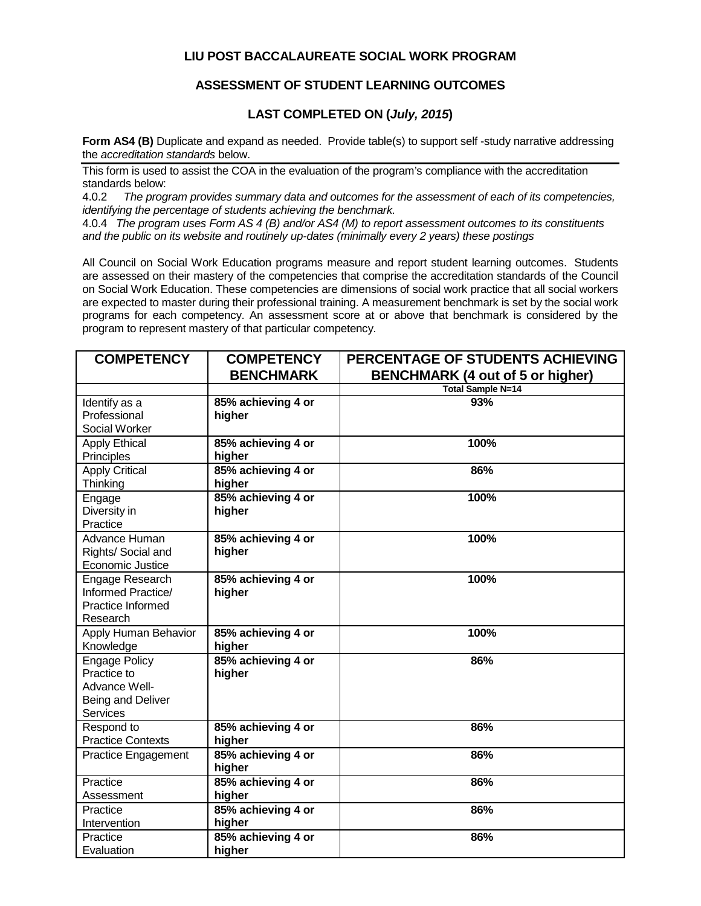## **LIU POST BACCALAUREATE SOCIAL WORK PROGRAM**

## **ASSESSMENT OF STUDENT LEARNING OUTCOMES**

## **LAST COMPLETED ON (***July, 2015***)**

**Form AS4 (B)** Duplicate and expand as needed. Provide table(s) to support self-study narrative addressing the *accreditation standards* below.

This form is used to assist the COA in the evaluation of the program's compliance with the accreditation standards below:<br>4.0.2 The prog

4.0.2 *The program provides summary data and outcomes for the assessment of each of its competencies, identifying the percentage of students achieving the benchmark.*

4.0.4 *The program uses Form AS 4 (B) and/or AS4 (M) to report assessment outcomes to its constituents and the public on its website and routinely up-dates (minimally every 2 years) these postings*

All Council on Social Work Education programs measure and report student learning outcomes. Students are assessed on their mastery of the competencies that comprise the accreditation standards of the Council on Social Work Education. These competencies are dimensions of social work practice that all social workers are expected to master during their professional training. A measurement benchmark is set by the social work programs for each competency. An assessment score at or above that benchmark is considered by the program to represent mastery of that particular competency.

| <b>COMPETENCY</b>        | <b>COMPETENCY</b>  | PERCENTAGE OF STUDENTS ACHIEVING        |
|--------------------------|--------------------|-----------------------------------------|
|                          | <b>BENCHMARK</b>   | <b>BENCHMARK (4 out of 5 or higher)</b> |
|                          |                    | <b>Total Sample N=14</b>                |
| Identify as a            | 85% achieving 4 or | 93%                                     |
| Professional             | higher             |                                         |
| Social Worker            |                    |                                         |
| <b>Apply Ethical</b>     | 85% achieving 4 or | 100%                                    |
| Principles               | higher             |                                         |
| <b>Apply Critical</b>    | 85% achieving 4 or | 86%                                     |
| Thinking                 | higher             |                                         |
| Engage                   | 85% achieving 4 or | 100%                                    |
| Diversity in             | higher             |                                         |
| Practice                 |                    |                                         |
| Advance Human            | 85% achieving 4 or | 100%                                    |
| Rights/ Social and       | higher             |                                         |
| <b>Economic Justice</b>  |                    |                                         |
| Engage Research          | 85% achieving 4 or | 100%                                    |
| Informed Practice/       | higher             |                                         |
| Practice Informed        |                    |                                         |
| Research                 |                    |                                         |
| Apply Human Behavior     | 85% achieving 4 or | 100%                                    |
| Knowledge                | higher             |                                         |
| <b>Engage Policy</b>     | 85% achieving 4 or | 86%                                     |
| Practice to              | higher             |                                         |
| Advance Well-            |                    |                                         |
| Being and Deliver        |                    |                                         |
| <b>Services</b>          |                    |                                         |
| Respond to               | 85% achieving 4 or | 86%                                     |
| <b>Practice Contexts</b> | higher             |                                         |
| Practice Engagement      | 85% achieving 4 or | 86%                                     |
|                          | higher             |                                         |
| Practice                 | 85% achieving 4 or | 86%                                     |
| Assessment               | higher             |                                         |
| Practice                 | 85% achieving 4 or | 86%                                     |
| Intervention             | higher             |                                         |
| Practice                 | 85% achieving 4 or | 86%                                     |
| Evaluation               | higher             |                                         |